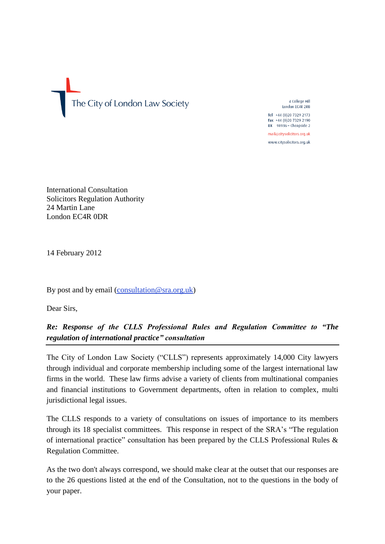

4 College Hill London EC4R 2RB

Tel +44 (0)20 7329 2173 Fax +44 (0)20 7329 2190  $DX$  98936 - Cheapside 2

mail@citysolicitors.org.uk www.citysolicitors.org.uk

International Consultation Solicitors Regulation Authority 24 Martin Lane London EC4R 0DR

14 February 2012

By post and by email [\(consultation@sra.org.uk\)](mailto:consultation@sra.org.uk)

Dear Sirs,

*Re: Response of the CLLS Professional Rules and Regulation Committee to ["The](http://www.sra.org.uk/sra/consultations/regulation-international-practice.page)  [regulation of international practice"](http://www.sra.org.uk/sra/consultations/regulation-international-practice.page) consultation*

The City of London Law Society ("CLLS") represents approximately 14,000 City lawyers through individual and corporate membership including some of the largest international law firms in the world. These law firms advise a variety of clients from multinational companies and financial institutions to Government departments, often in relation to complex, multi jurisdictional legal issues.

The CLLS responds to a variety of consultations on issues of importance to its members through its 18 specialist committees. This response in respect of the SRA's ["The regulation](http://www.sra.org.uk/sra/consultations/regulation-international-practice.page)  [of international practice"](http://www.sra.org.uk/sra/consultations/regulation-international-practice.page) consultation has been prepared by the CLLS Professional Rules & Regulation Committee.

As the two don't always correspond, we should make clear at the outset that our responses are to the 26 questions listed at the end of the Consultation, not to the questions in the body of your paper.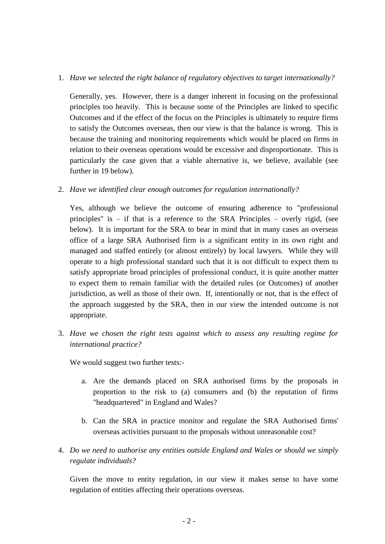## 1. *Have we selected the right balance of regulatory objectives to target internationally?*

Generally, yes. However, there is a danger inherent in focusing on the professional principles too heavily. This is because some of the Principles are linked to specific Outcomes and if the effect of the focus on the Principles is ultimately to require firms to satisfy the Outcomes overseas, then our view is that the balance is wrong. This is because the training and monitoring requirements which would be placed on firms in relation to their overseas operations would be excessive and disproportionate. This is particularly the case given that a viable alternative is, we believe, available (see further in 19 below).

2. *Have we identified clear enough outcomes for regulation internationally?*

Yes, although we believe the outcome of ensuring adherence to "professional principles" is – if that is a reference to the SRA Principles – overly rigid, (see below). It is important for the SRA to bear in mind that in many cases an overseas office of a large SRA Authorised firm is a significant entity in its own right and managed and staffed entirely (or almost entirely) by local lawyers. While they will operate to a high professional standard such that it is not difficult to expect them to satisfy appropriate broad principles of professional conduct, it is quite another matter to expect them to remain familiar with the detailed rules (or Outcomes) of another jurisdiction, as well as those of their own. If, intentionally or not, that is the effect of the approach suggested by the SRA, then in our view the intended outcome is not appropriate.

3. *Have we chosen the right tests against which to assess any resulting regime for international practice?*

We would suggest two further tests:-

- a. Are the demands placed on SRA authorised firms by the proposals in proportion to the risk to (a) consumers and (b) the reputation of firms "headquartered" in England and Wales?
- b. Can the SRA in practice monitor and regulate the SRA Authorised firms' overseas activities pursuant to the proposals without unreasonable cost?
- 4. *Do we need to authorise any entities outside England and Wales or should we simply regulate individuals?*

Given the move to entity regulation, in our view it makes sense to have some regulation of entities affecting their operations overseas.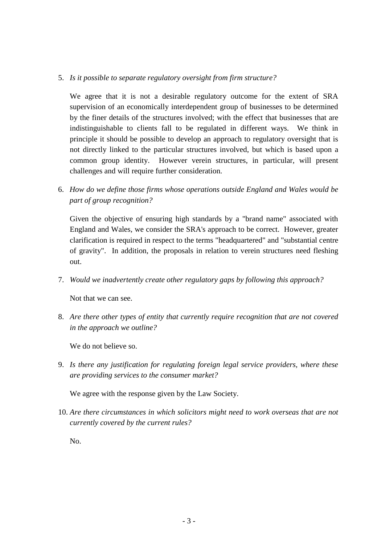## 5. *Is it possible to separate regulatory oversight from firm structure?*

We agree that it is not a desirable regulatory outcome for the extent of SRA supervision of an economically interdependent group of businesses to be determined by the finer details of the structures involved; with the effect that businesses that are indistinguishable to clients fall to be regulated in different ways. We think in principle it should be possible to develop an approach to regulatory oversight that is not directly linked to the particular structures involved, but which is based upon a common group identity. However verein structures, in particular, will present challenges and will require further consideration.

6. *How do we define those firms whose operations outside England and Wales would be part of group recognition?*

Given the objective of ensuring high standards by a "brand name" associated with England and Wales, we consider the SRA's approach to be correct. However, greater clarification is required in respect to the terms "headquartered" and "substantial centre of gravity". In addition, the proposals in relation to verein structures need fleshing out.

7. *Would we inadvertently create other regulatory gaps by following this approach?*

Not that we can see.

8. *Are there other types of entity that currently require recognition that are not covered in the approach we outline?*

We do not believe so.

9. *Is there any justification for regulating foreign legal service providers, where these are providing services to the consumer market?*

We agree with the response given by the Law Society.

10. *Are there circumstances in which solicitors might need to work overseas that are not currently covered by the current rules?*

No.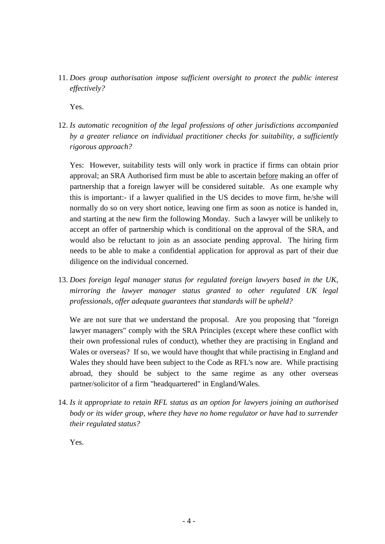11. *Does group authorisation impose sufficient oversight to protect the public interest effectively?*

Yes.

12. *Is automatic recognition of the legal professions of other jurisdictions accompanied by a greater reliance on individual practitioner checks for suitability, a sufficiently rigorous approach?*

Yes: However, suitability tests will only work in practice if firms can obtain prior approval; an SRA Authorised firm must be able to ascertain before making an offer of partnership that a foreign lawyer will be considered suitable. As one example why this is important:- if a lawyer qualified in the US decides to move firm, he/she will normally do so on very short notice, leaving one firm as soon as notice is handed in, and starting at the new firm the following Monday. Such a lawyer will be unlikely to accept an offer of partnership which is conditional on the approval of the SRA, and would also be reluctant to join as an associate pending approval. The hiring firm needs to be able to make a confidential application for approval as part of their due diligence on the individual concerned.

13. *Does foreign legal manager status for regulated foreign lawyers based in the UK, mirroring the lawyer manager status granted to other regulated UK legal professionals, offer adequate guarantees that standards will be upheld?*

We are not sure that we understand the proposal. Are you proposing that "foreign" lawyer managers" comply with the SRA Principles (except where these conflict with their own professional rules of conduct), whether they are practising in England and Wales or overseas? If so, we would have thought that while practising in England and Wales they should have been subject to the Code as RFL's now are. While practising abroad, they should be subject to the same regime as any other overseas partner/solicitor of a firm "headquartered" in England/Wales.

14. *Is it appropriate to retain RFL status as an option for lawyers joining an authorised body or its wider group, where they have no home regulator or have had to surrender their regulated status?*

Yes.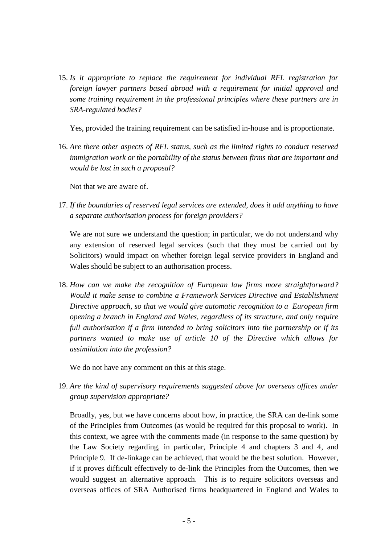15. *Is it appropriate to replace the requirement for individual RFL registration for foreign lawyer partners based abroad with a requirement for initial approval and some training requirement in the professional principles where these partners are in SRA-regulated bodies?*

Yes, provided the training requirement can be satisfied in-house and is proportionate.

16. *Are there other aspects of RFL status, such as the limited rights to conduct reserved immigration work or the portability of the status between firms that are important and would be lost in such a proposal?*

Not that we are aware of.

17. *If the boundaries of reserved legal services are extended, does it add anything to have a separate authorisation process for foreign providers?*

We are not sure we understand the question; in particular, we do not understand why any extension of reserved legal services (such that they must be carried out by Solicitors) would impact on whether foreign legal service providers in England and Wales should be subject to an authorisation process.

18. *How can we make the recognition of European law firms more straightforward? Would it make sense to combine a Framework Services Directive and Establishment Directive approach, so that we would give automatic recognition to a European firm opening a branch in England and Wales, regardless of its structure, and only require full authorisation if a firm intended to bring solicitors into the partnership or if its partners wanted to make use of article 10 of the Directive which allows for assimilation into the profession?*

We do not have any comment on this at this stage.

19. *Are the kind of supervisory requirements suggested above for overseas offices under group supervision appropriate?*

Broadly, yes, but we have concerns about how, in practice, the SRA can de-link some of the Principles from Outcomes (as would be required for this proposal to work). In this context, we agree with the comments made (in response to the same question) by the Law Society regarding, in particular, Principle 4 and chapters 3 and 4, and Principle 9. If de-linkage can be achieved, that would be the best solution. However, if it proves difficult effectively to de-link the Principles from the Outcomes, then we would suggest an alternative approach. This is to require solicitors overseas and overseas offices of SRA Authorised firms headquartered in England and Wales to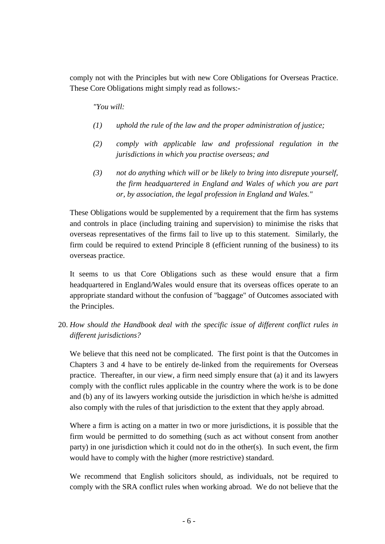comply not with the Principles but with new Core Obligations for Overseas Practice. These Core Obligations might simply read as follows:-

*"You will:*

- *(1) uphold the rule of the law and the proper administration of justice;*
- *(2) comply with applicable law and professional regulation in the jurisdictions in which you practise overseas; and*
- *(3) not do anything which will or be likely to bring into disrepute yourself, the firm headquartered in England and Wales of which you are part or, by association, the legal profession in England and Wales."*

These Obligations would be supplemented by a requirement that the firm has systems and controls in place (including training and supervision) to minimise the risks that overseas representatives of the firms fail to live up to this statement. Similarly, the firm could be required to extend Principle 8 (efficient running of the business) to its overseas practice.

It seems to us that Core Obligations such as these would ensure that a firm headquartered in England/Wales would ensure that its overseas offices operate to an appropriate standard without the confusion of "baggage" of Outcomes associated with the Principles.

20. *How should the Handbook deal with the specific issue of different conflict rules in different jurisdictions?*

We believe that this need not be complicated. The first point is that the Outcomes in Chapters 3 and 4 have to be entirely de-linked from the requirements for Overseas practice. Thereafter, in our view, a firm need simply ensure that (a) it and its lawyers comply with the conflict rules applicable in the country where the work is to be done and (b) any of its lawyers working outside the jurisdiction in which he/she is admitted also comply with the rules of that jurisdiction to the extent that they apply abroad.

Where a firm is acting on a matter in two or more jurisdictions, it is possible that the firm would be permitted to do something (such as act without consent from another party) in one jurisdiction which it could not do in the other(s). In such event, the firm would have to comply with the higher (more restrictive) standard.

We recommend that English solicitors should, as individuals, not be required to comply with the SRA conflict rules when working abroad. We do not believe that the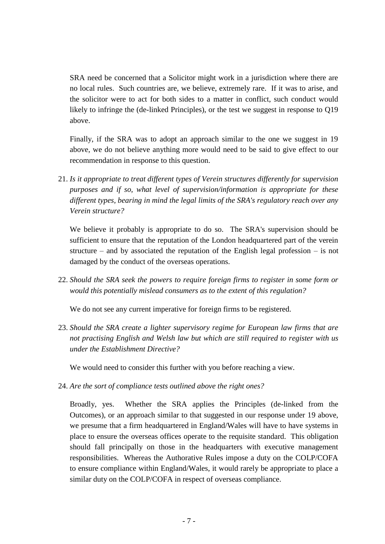SRA need be concerned that a Solicitor might work in a jurisdiction where there are no local rules. Such countries are, we believe, extremely rare. If it was to arise, and the solicitor were to act for both sides to a matter in conflict, such conduct would likely to infringe the (de-linked Principles), or the test we suggest in response to Q19 above.

Finally, if the SRA was to adopt an approach similar to the one we suggest in 19 above, we do not believe anything more would need to be said to give effect to our recommendation in response to this question.

21. *Is it appropriate to treat different types of Verein structures differently for supervision purposes and if so, what level of supervision/information is appropriate for these different types, bearing in mind the legal limits of the SRA's regulatory reach over any Verein structure?*

We believe it probably is appropriate to do so. The SRA's supervision should be sufficient to ensure that the reputation of the London headquartered part of the verein structure – and by associated the reputation of the English legal profession – is not damaged by the conduct of the overseas operations.

22. *Should the SRA seek the powers to require foreign firms to register in some form or would this potentially mislead consumers as to the extent of this regulation?*

We do not see any current imperative for foreign firms to be registered.

23. *Should the SRA create a lighter supervisory regime for European law firms that are not practising English and Welsh law but which are still required to register with us under the Establishment Directive?*

We would need to consider this further with you before reaching a view.

24. *Are the sort of compliance tests outlined above the right ones?*

Broadly, yes. Whether the SRA applies the Principles (de-linked from the Outcomes), or an approach similar to that suggested in our response under 19 above, we presume that a firm headquartered in England/Wales will have to have systems in place to ensure the overseas offices operate to the requisite standard. This obligation should fall principally on those in the headquarters with executive management responsibilities. Whereas the Authorative Rules impose a duty on the COLP/COFA to ensure compliance within England/Wales, it would rarely be appropriate to place a similar duty on the COLP/COFA in respect of overseas compliance.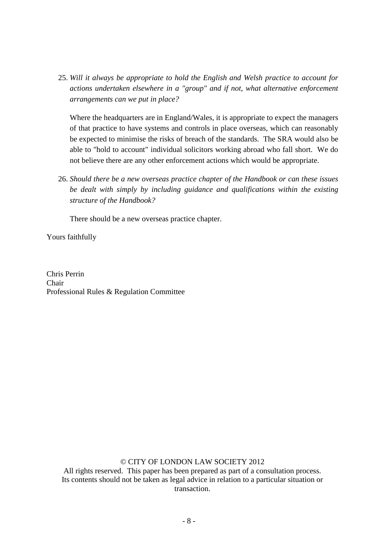25. *Will it always be appropriate to hold the English and Welsh practice to account for actions undertaken elsewhere in a "group" and if not, what alternative enforcement arrangements can we put in place?*

Where the headquarters are in England/Wales, it is appropriate to expect the managers of that practice to have systems and controls in place overseas, which can reasonably be expected to minimise the risks of breach of the standards. The SRA would also be able to "hold to account" individual solicitors working abroad who fall short. We do not believe there are any other enforcement actions which would be appropriate.

26. *Should there be a new overseas practice chapter of the Handbook or can these issues be dealt with simply by including guidance and qualifications within the existing structure of the Handbook?*

There should be a new overseas practice chapter.

Yours faithfully

Chris Perrin Chair Professional Rules & Regulation Committee

## © CITY OF LONDON LAW SOCIETY 2012

All rights reserved. This paper has been prepared as part of a consultation process. Its contents should not be taken as legal advice in relation to a particular situation or transaction.